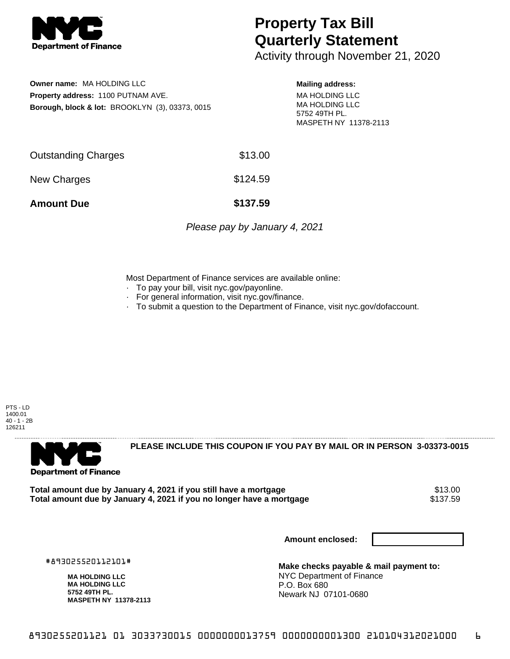

## **Property Tax Bill Quarterly Statement**

Activity through November 21, 2020

**Owner name:** MA HOLDING LLC **Property address:** 1100 PUTNAM AVE. **Borough, block & lot:** BROOKLYN (3), 03373, 0015

## **Mailing address:**

MA HOLDING LLC MA HOLDING LLC 5752 49TH PL. MASPETH NY 11378-2113

| <b>Amount Due</b>   | \$137.59 |
|---------------------|----------|
| New Charges         | \$124.59 |
| Outstanding Charges | \$13.00  |

Please pay by January 4, 2021

Most Department of Finance services are available online:

- · To pay your bill, visit nyc.gov/payonline.
- For general information, visit nyc.gov/finance.
- · To submit a question to the Department of Finance, visit nyc.gov/dofaccount.

PTS - LD 1400.01 40 - 1 - 2B 126211



**PLEASE INCLUDE THIS COUPON IF YOU PAY BY MAIL OR IN PERSON 3-03373-0015** 

**Total amount due by January 4, 2021 if you still have a mortgage** \$13.00 Total amount due by January 4, 2021 if you no longer have a mortgage

**Amount enclosed:**

#893025520112101#

**MA HOLDING LLC MA HOLDING LLC 5752 49TH PL. MASPETH NY 11378-2113**

**Make checks payable & mail payment to:** NYC Department of Finance P.O. Box 680 Newark NJ 07101-0680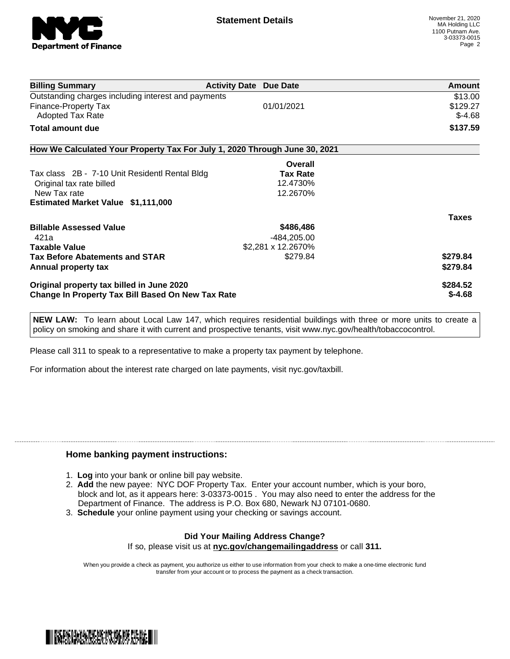

| <b>Billing Summary</b>                                                     | <b>Activity Date Due Date</b> | <b>Amount</b> |
|----------------------------------------------------------------------------|-------------------------------|---------------|
| Outstanding charges including interest and payments                        |                               | \$13.00       |
| Finance-Property Tax                                                       | 01/01/2021                    | \$129.27      |
| <b>Adopted Tax Rate</b>                                                    |                               | $$-4.68$      |
| Total amount due                                                           |                               | \$137.59      |
| How We Calculated Your Property Tax For July 1, 2020 Through June 30, 2021 |                               |               |
|                                                                            | Overall                       |               |
| Tax class 2B - 7-10 Unit Residentl Rental Bldg                             | <b>Tax Rate</b>               |               |
| Original tax rate billed                                                   | 12.4730%                      |               |
| New Tax rate                                                               | 12.2670%                      |               |
| <b>Estimated Market Value \$1,111,000</b>                                  |                               |               |
|                                                                            |                               | <b>Taxes</b>  |
| <b>Billable Assessed Value</b>                                             | \$486,486                     |               |
| 421a                                                                       | -484,205.00                   |               |
| <b>Taxable Value</b>                                                       | \$2,281 x 12.2670%            |               |
| <b>Tax Before Abatements and STAR</b>                                      | \$279.84                      | \$279.84      |
| Annual property tax                                                        |                               | \$279.84      |
| Original property tax billed in June 2020                                  |                               | \$284.52      |
| <b>Change In Property Tax Bill Based On New Tax Rate</b>                   |                               | $$-4.68$      |

**NEW LAW:** To learn about Local Law 147, which requires residential buildings with three or more units to create a policy on smoking and share it with current and prospective tenants, visit www.nyc.gov/health/tobaccocontrol.

Please call 311 to speak to a representative to make a property tax payment by telephone.

For information about the interest rate charged on late payments, visit nyc.gov/taxbill.

## **Home banking payment instructions:**

- 1. **Log** into your bank or online bill pay website.
- 2. **Add** the new payee: NYC DOF Property Tax. Enter your account number, which is your boro, block and lot, as it appears here: 3-03373-0015 . You may also need to enter the address for the Department of Finance. The address is P.O. Box 680, Newark NJ 07101-0680.
- 3. **Schedule** your online payment using your checking or savings account.

## **Did Your Mailing Address Change?** If so, please visit us at **nyc.gov/changemailingaddress** or call **311.**

When you provide a check as payment, you authorize us either to use information from your check to make a one-time electronic fund transfer from your account or to process the payment as a check transaction.